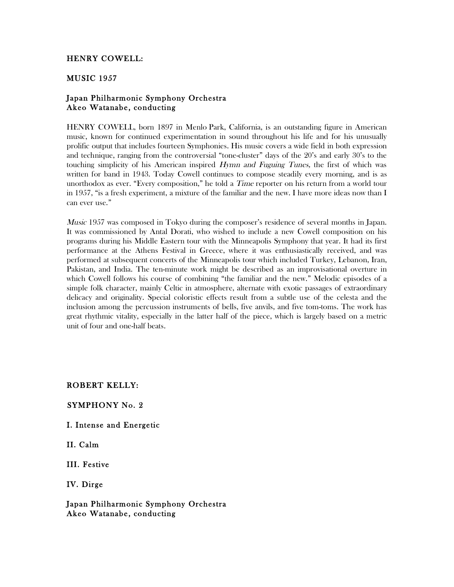# HENRY COWELL:

# MUSIC 1957

# Japan Philharmonic Symphony Orchestra Akeo Watanabe, conducting

HENRY COWELL, born 1897 in Menlo Park, California, is an outstanding figure in American music, known for continued experimentation in sound throughout his life and for his unusually prolific output that includes fourteen Symphonies. His music covers a wide field in both expression and technique, ranging from the controversial "tone-cluster" days of the 20's and early 30's to the touching simplicity of his American inspired Hymn and Fuguing Tunes, the first of which was written for band in 1943. Today Cowell continues to compose steadily every morning, and is as unorthodox as ever. "Every composition," he told a *Time* reporter on his return from a world tour in 1957, "is a fresh experiment, a mixture of the familiar and the new. I have more ideas now than I can ever use."

*Music* 1957 was composed in Tokyo during the composer's residence of several months in Japan. It was commissioned by Antal Dorati, who wished to include a new Cowell composition on his programs during his Middle Eastern tour with the Minneapolis Symphony that year. It had its first performance at the Athens Festival in Greece, where it was enthusiastically received, and was performed at subsequent concerts of the Minneapolis tour which included Turkey, Lebanon, Iran, Pakistan, and India. The ten-minute work might be described as an improvisational overture in which Cowell follows his course of combining "the familiar and the new." Melodic episodes of a simple folk character, mainly Celtic in atmosphere, alternate with exotic passages of extraordinary delicacy and originality. Special coloristic effects result from a subtle use of the celesta and the inclusion among the percussion instruments of bells, five anvils, and five tom-toms. The work has great rhythmic vitality, especially in the latter half of the piece, which is largely based on a metric unit of four and one-half beats.

ROBERT KELLY:

### SYMPHONY No. 2

### I. Intense and Energetic

II. Calm

III. Festive

IV. Dirge

Japan Philharmonic Symphony Orchestra Akeo Watanabe, conducting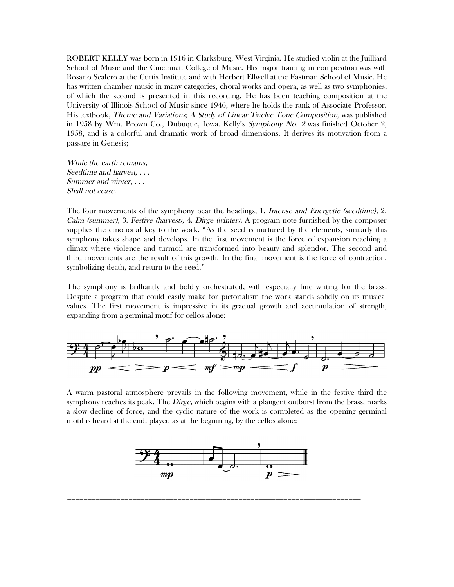ROBERT KELLY was born in 1916 in Clarksburg, West Virginia. He studied violin at the Juilliard School of Music and the Cincinnati College of Music. His major training in composition was with Rosario Scalero at the Curtis Institute and with Herbert Ellwell at the Eastman School of Music. He has written chamber music in many categories, choral works and opera, as well as two symphonies, of which the second is presented in this recording. He has been teaching composition at the University of Illinois School of Music since 1946, where he holds the rank of Associate Professor. His textbook, Theme and Variations; A Study of Linear Twelve Tone Composition, was published in 1958 by Wm. Brown Co., Dubuque, Iowa. Kelly's Symphony No. 2 was finished October 2, 1958, and is a colorful and dramatic work of broad dimensions. It derives its motivation from a passage in Genesis;

While the earth remains, Seedtime and harvest, . . . Summer and winter, . . . Shall not cease.

The four movements of the symphony bear the headings, 1. Intense and Energetic (seedtime), 2. Calm (summer), 3. Festive (harvest), 4. Dirge (winter). A program note furnished by the composer supplies the emotional key to the work. "As the seed is nurtured by the elements, similarly this symphony takes shape and develops. In the first movement is the force of expansion reaching a climax where violence and turmoil are transformed into beauty and splendor. The second and third movements are the result of this growth. In the final movement is the force of contraction, symbolizing death, and return to the seed."

The symphony is brilliantly and boldly orchestrated, with especially fine writing for the brass. Despite a program that could easily make for pictorialism the work stands solidly on its musical values. The first movement is impressive in its gradual growth and accumulation of strength, expanding from a germinal motif for cellos alone:



A warm pastoral atmosphere prevails in the following movement, while in the festive third the symphony reaches its peak. The *Dirge*, which begins with a plangent outburst from the brass, marks a slow decline of force, and the cyclic nature of the work is completed as the opening germinal motif is heard at the end, played as at the beginning, by the cellos alone:



\_\_\_\_\_\_\_\_\_\_\_\_\_\_\_\_\_\_\_\_\_\_\_\_\_\_\_\_\_\_\_\_\_\_\_\_\_\_\_\_\_\_\_\_\_\_\_\_\_\_\_\_\_\_\_\_\_\_\_\_\_\_\_\_\_\_\_\_\_\_\_\_